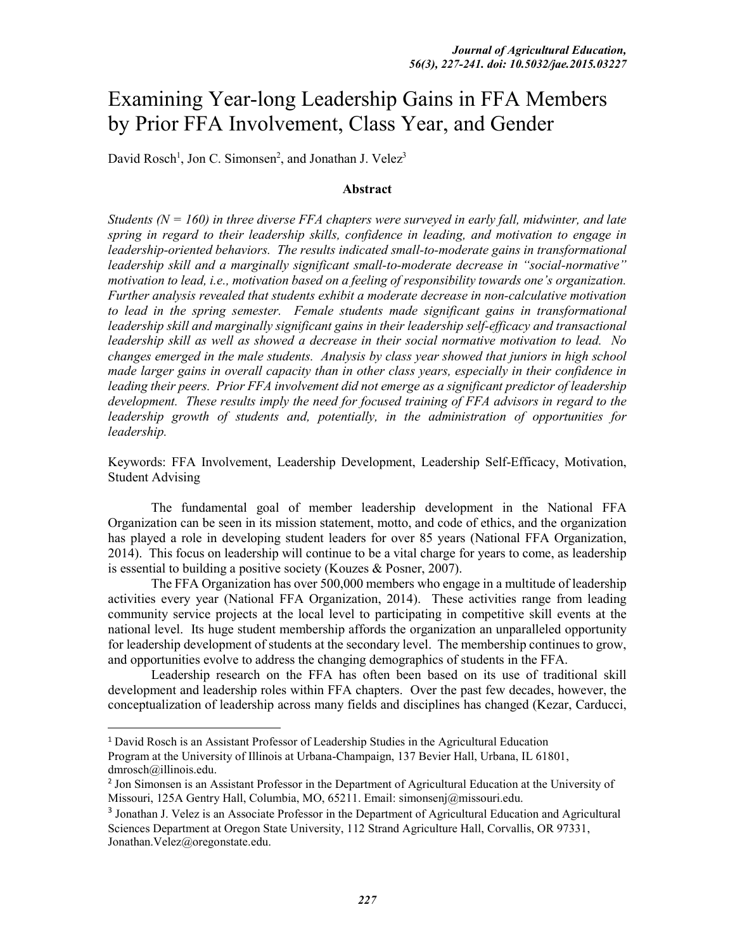# Examining Year-long Leadership Gains in FFA Members by Prior FFA Involvement, Class Year, and Gender

David Rosch<sup>1</sup>, Jon C. Simonsen<sup>2</sup>, and Jonathan J. Velez<sup>3</sup>

#### **Abstract**

*Students (N = 160) in three diverse FFA chapters were surveyed in early fall, midwinter, and late spring in regard to their leadership skills, confidence in leading, and motivation to engage in*  leadership-oriented behaviors. The results indicated small-to-moderate gains in transformational *leadership skill and a marginally significant small-to-moderate decrease in "social-normative" motivation to lead, i.e., motivation based on a feeling of responsibility towards one's organization. Further analysis revealed that students exhibit a moderate decrease in non-calculative motivation to lead in the spring semester. Female students made significant gains in transformational*  leadership skill and marginally significant gains in their leadership self-efficacy and transactional *leadership skill as well as showed a decrease in their social normative motivation to lead. No changes emerged in the male students. Analysis by class year showed that juniors in high school made larger gains in overall capacity than in other class years, especially in their confidence in leading their peers. Prior FFA involvement did not emerge as a significant predictor of leadership development. These results imply the need for focused training of FFA advisors in regard to the leadership growth of students and, potentially, in the administration of opportunities for leadership.* 

Keywords: FFA Involvement, Leadership Development, Leadership Self-Efficacy, Motivation, Student Advising

The fundamental goal of member leadership development in the National FFA Organization can be seen in its mission statement, motto, and code of ethics, and the organization has played a role in developing student leaders for over 85 years (National FFA Organization, 2014). This focus on leadership will continue to be a vital charge for years to come, as leadership is essential to building a positive society (Kouzes & Posner, 2007).

The FFA Organization has over 500,000 members who engage in a multitude of leadership activities every year (National FFA Organization, 2014). These activities range from leading community service projects at the local level to participating in competitive skill events at the national level. Its huge student membership affords the organization an unparalleled opportunity for leadership development of students at the secondary level. The membership continues to grow, and opportunities evolve to address the changing demographics of students in the FFA.

Leadership research on the FFA has often been based on its use of traditional skill development and leadership roles within FFA chapters. Over the past few decades, however, the conceptualization of leadership across many fields and disciplines has changed (Kezar, Carducci,

 <sup>1</sup> David Rosch is an Assistant Professor of Leadership Studies in the Agricultural Education Program at the University of Illinois at Urbana-Champaign, 137 Bevier Hall, Urbana, IL 61801, dmrosch@illinois.edu.

<sup>2</sup> Jon Simonsen is an Assistant Professor in the Department of Agricultural Education at the University of Missouri, 125A Gentry Hall, Columbia, MO, 65211. Email: simonsenj@missouri.edu.

<sup>3</sup> Jonathan J. Velez is an Associate Professor in the Department of Agricultural Education and Agricultural Sciences Department at Oregon State University, 112 Strand Agriculture Hall, Corvallis, OR 97331, Jonathan.Velez@oregonstate.edu.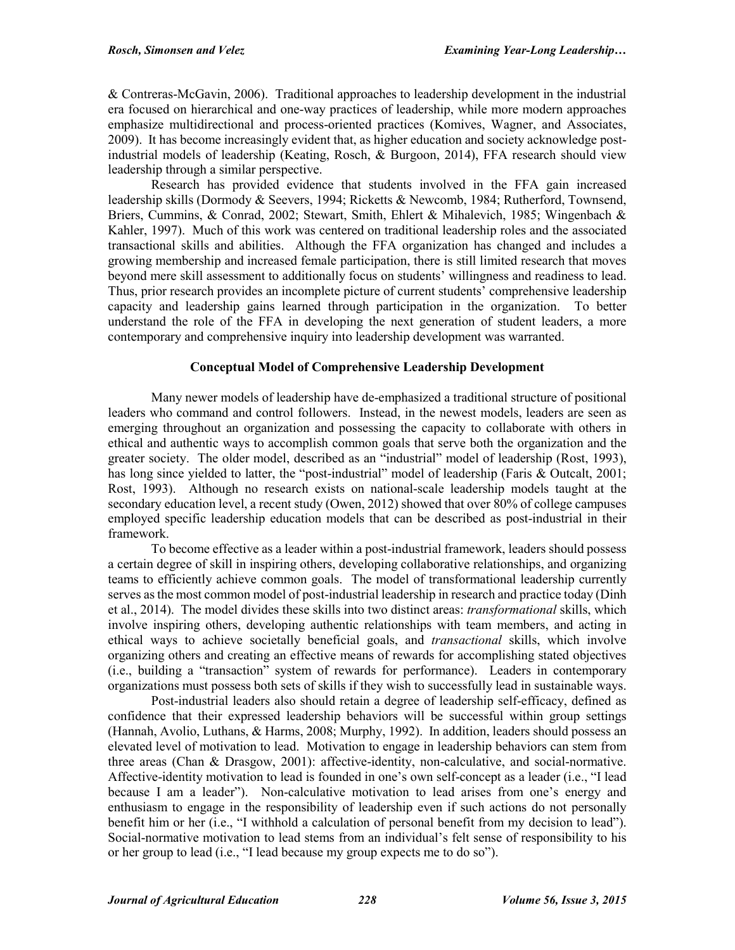& Contreras-McGavin, 2006). Traditional approaches to leadership development in the industrial era focused on hierarchical and one-way practices of leadership, while more modern approaches emphasize multidirectional and process-oriented practices (Komives, Wagner, and Associates, 2009). It has become increasingly evident that, as higher education and society acknowledge postindustrial models of leadership (Keating, Rosch, & Burgoon, 2014), FFA research should view leadership through a similar perspective.

Research has provided evidence that students involved in the FFA gain increased leadership skills (Dormody & Seevers, 1994; Ricketts & Newcomb, 1984; Rutherford, Townsend, Briers, Cummins, & Conrad, 2002; Stewart, Smith, Ehlert & Mihalevich, 1985; Wingenbach & Kahler, 1997). Much of this work was centered on traditional leadership roles and the associated transactional skills and abilities. Although the FFA organization has changed and includes a growing membership and increased female participation, there is still limited research that moves beyond mere skill assessment to additionally focus on students' willingness and readiness to lead. Thus, prior research provides an incomplete picture of current students' comprehensive leadership capacity and leadership gains learned through participation in the organization. To better understand the role of the FFA in developing the next generation of student leaders, a more contemporary and comprehensive inquiry into leadership development was warranted.

## **Conceptual Model of Comprehensive Leadership Development**

Many newer models of leadership have de-emphasized a traditional structure of positional leaders who command and control followers. Instead, in the newest models, leaders are seen as emerging throughout an organization and possessing the capacity to collaborate with others in ethical and authentic ways to accomplish common goals that serve both the organization and the greater society. The older model, described as an "industrial" model of leadership (Rost, 1993), has long since yielded to latter, the "post-industrial" model of leadership (Faris & Outcalt, 2001; Rost, 1993). Although no research exists on national-scale leadership models taught at the secondary education level, a recent study (Owen, 2012) showed that over 80% of college campuses employed specific leadership education models that can be described as post-industrial in their framework.

To become effective as a leader within a post-industrial framework, leaders should possess a certain degree of skill in inspiring others, developing collaborative relationships, and organizing teams to efficiently achieve common goals. The model of transformational leadership currently serves as the most common model of post-industrial leadership in research and practice today (Dinh et al., 2014). The model divides these skills into two distinct areas: *transformational* skills, which involve inspiring others, developing authentic relationships with team members, and acting in ethical ways to achieve societally beneficial goals, and *transactional* skills, which involve organizing others and creating an effective means of rewards for accomplishing stated objectives (i.e., building a "transaction" system of rewards for performance). Leaders in contemporary organizations must possess both sets of skills if they wish to successfully lead in sustainable ways.

Post-industrial leaders also should retain a degree of leadership self-efficacy, defined as confidence that their expressed leadership behaviors will be successful within group settings (Hannah, Avolio, Luthans, & Harms, 2008; Murphy, 1992). In addition, leaders should possess an elevated level of motivation to lead. Motivation to engage in leadership behaviors can stem from three areas (Chan & Drasgow, 2001): affective-identity, non-calculative, and social-normative. Affective-identity motivation to lead is founded in one's own self-concept as a leader (i.e., "I lead because I am a leader"). Non-calculative motivation to lead arises from one's energy and enthusiasm to engage in the responsibility of leadership even if such actions do not personally benefit him or her (i.e., "I withhold a calculation of personal benefit from my decision to lead"). Social-normative motivation to lead stems from an individual's felt sense of responsibility to his or her group to lead (i.e., "I lead because my group expects me to do so").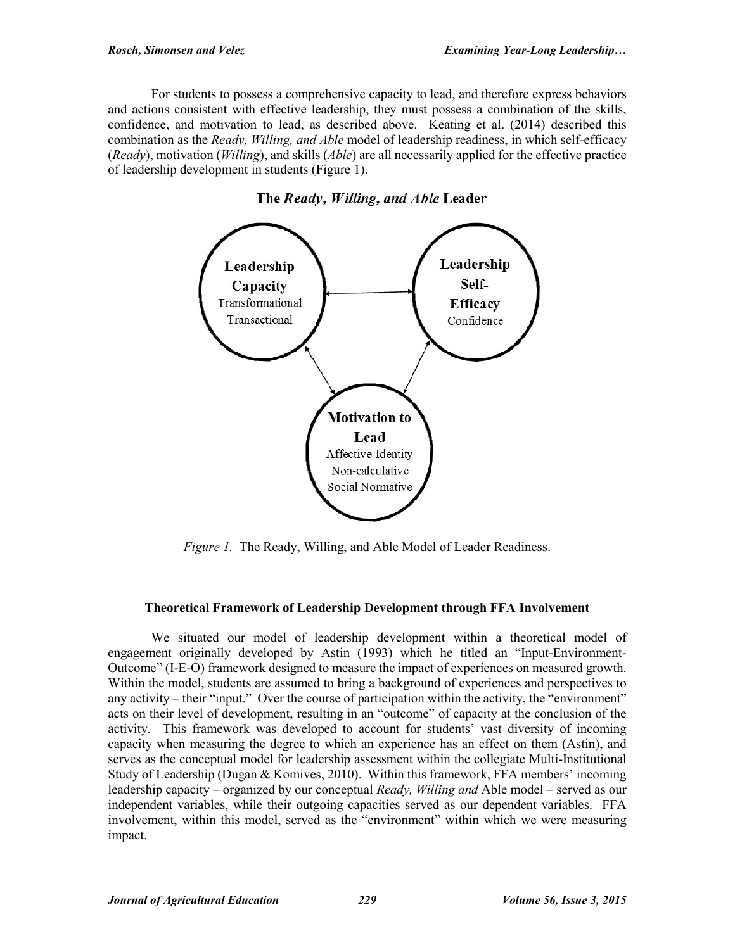For students to possess a comprehensive capacity to lead, and therefore express behaviors and actions consistent with effective leadership, they must possess a combination of the skills, confidence, and motivation to lead, as described above. Keating et al. (2014) described this combination as the *Ready, Willing, and Able* model of leadership readiness, in which self-efficacy (*Ready*), motivation (*Willing*), and skills (*Able*) are all necessarily applied for the effective practice of leadership development in students (Figure 1).



The Ready, Willing, and Able Leader

*Figure 1.* The Ready, Willing, and Able Model of Leader Readiness.

# **Theoretical Framework of Leadership Development through FFA Involvement**

We situated our model of leadership development within a theoretical model of engagement originally developed by Astin (1993) which he titled an "Input-Environment-Outcome" (I-E-O) framework designed to measure the impact of experiences on measured growth. Within the model, students are assumed to bring a background of experiences and perspectives to any activity – their "input." Over the course of participation within the activity, the "environment" acts on their level of development, resulting in an "outcome" of capacity at the conclusion of the activity. This framework was developed to account for students' vast diversity of incoming capacity when measuring the degree to which an experience has an effect on them (Astin), and serves as the conceptual model for leadership assessment within the collegiate Multi-Institutional Study of Leadership (Dugan & Komives, 2010). Within this framework, FFA members' incoming leadership capacity – organized by our conceptual *Ready, Willing and* Able model – served as our independent variables, while their outgoing capacities served as our dependent variables. FFA involvement, within this model, served as the "environment" within which we were measuring impact.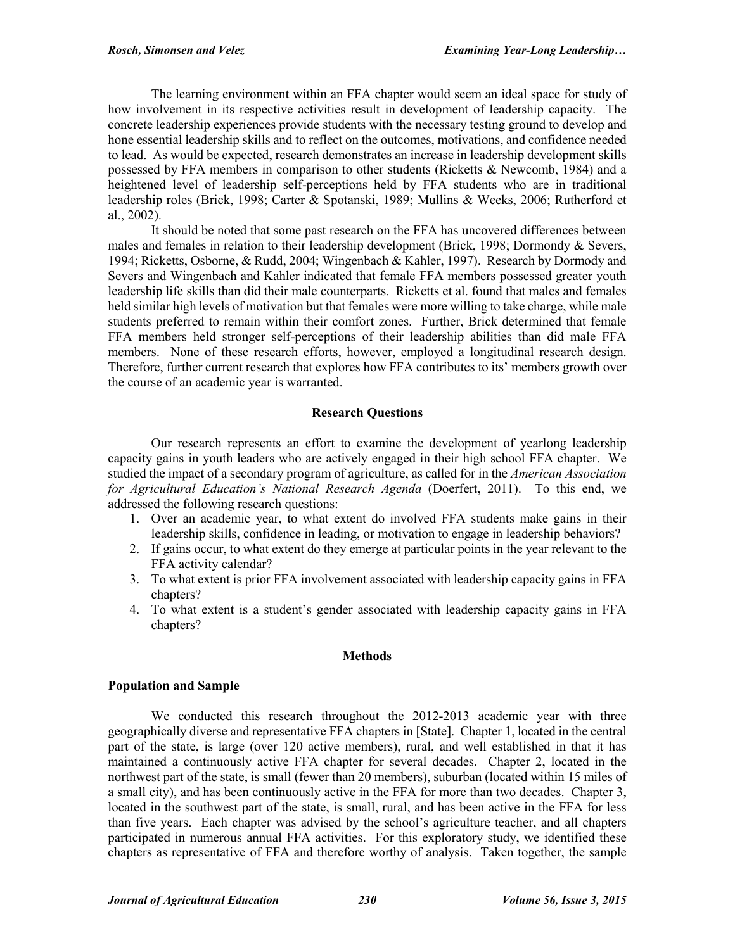The learning environment within an FFA chapter would seem an ideal space for study of how involvement in its respective activities result in development of leadership capacity. The concrete leadership experiences provide students with the necessary testing ground to develop and hone essential leadership skills and to reflect on the outcomes, motivations, and confidence needed to lead. As would be expected, research demonstrates an increase in leadership development skills possessed by FFA members in comparison to other students (Ricketts & Newcomb, 1984) and a heightened level of leadership self-perceptions held by FFA students who are in traditional leadership roles (Brick, 1998; Carter & Spotanski, 1989; Mullins & Weeks, 2006; Rutherford et al., 2002).

It should be noted that some past research on the FFA has uncovered differences between males and females in relation to their leadership development (Brick, 1998; Dormondy & Severs, 1994; Ricketts, Osborne, & Rudd, 2004; Wingenbach & Kahler, 1997). Research by Dormody and Severs and Wingenbach and Kahler indicated that female FFA members possessed greater youth leadership life skills than did their male counterparts. Ricketts et al. found that males and females held similar high levels of motivation but that females were more willing to take charge, while male students preferred to remain within their comfort zones. Further, Brick determined that female FFA members held stronger self-perceptions of their leadership abilities than did male FFA members. None of these research efforts, however, employed a longitudinal research design. Therefore, further current research that explores how FFA contributes to its' members growth over the course of an academic year is warranted.

## **Research Questions**

Our research represents an effort to examine the development of yearlong leadership capacity gains in youth leaders who are actively engaged in their high school FFA chapter. We studied the impact of a secondary program of agriculture, as called for in the *American Association for Agricultural Education's National Research Agenda* (Doerfert, 2011). To this end, we addressed the following research questions:

- 1. Over an academic year, to what extent do involved FFA students make gains in their leadership skills, confidence in leading, or motivation to engage in leadership behaviors?
- 2. If gains occur, to what extent do they emerge at particular points in the year relevant to the FFA activity calendar?
- 3. To what extent is prior FFA involvement associated with leadership capacity gains in FFA chapters?
- 4. To what extent is a student's gender associated with leadership capacity gains in FFA chapters?

## **Methods**

## **Population and Sample**

We conducted this research throughout the 2012-2013 academic year with three geographically diverse and representative FFA chapters in [State]. Chapter 1, located in the central part of the state, is large (over 120 active members), rural, and well established in that it has maintained a continuously active FFA chapter for several decades. Chapter 2, located in the northwest part of the state, is small (fewer than 20 members), suburban (located within 15 miles of a small city), and has been continuously active in the FFA for more than two decades. Chapter 3, located in the southwest part of the state, is small, rural, and has been active in the FFA for less than five years. Each chapter was advised by the school's agriculture teacher, and all chapters participated in numerous annual FFA activities. For this exploratory study, we identified these chapters as representative of FFA and therefore worthy of analysis. Taken together, the sample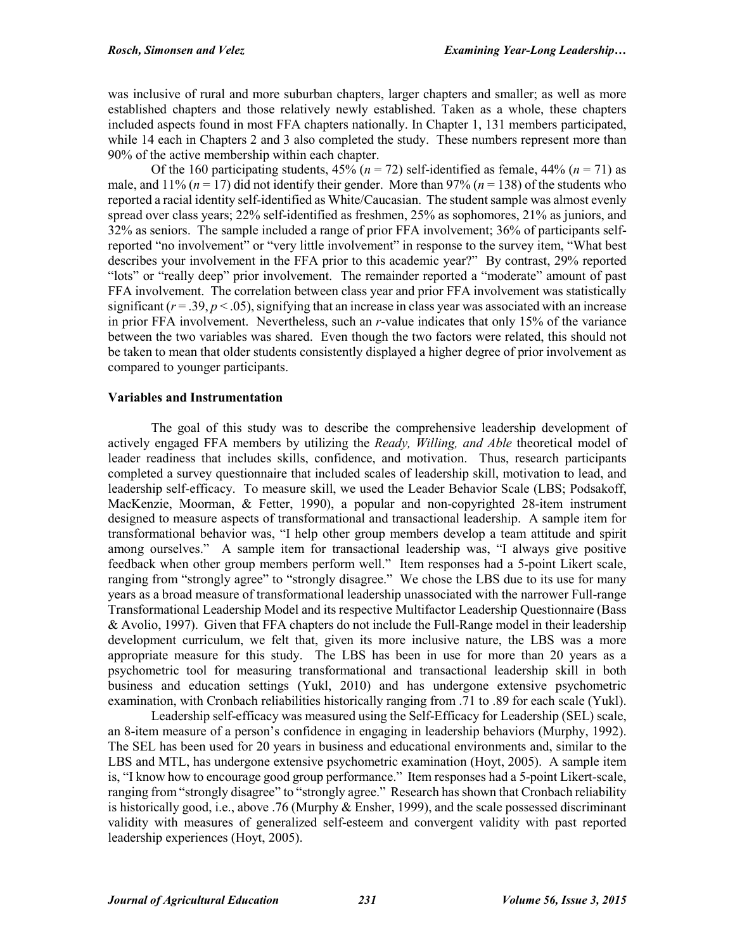was inclusive of rural and more suburban chapters, larger chapters and smaller; as well as more established chapters and those relatively newly established. Taken as a whole, these chapters included aspects found in most FFA chapters nationally. In Chapter 1, 131 members participated, while 14 each in Chapters 2 and 3 also completed the study. These numbers represent more than 90% of the active membership within each chapter.

Of the 160 participating students,  $45\%$  ( $n = 72$ ) self-identified as female,  $44\%$  ( $n = 71$ ) as male, and 11% ( $n = 17$ ) did not identify their gender. More than 97% ( $n = 138$ ) of the students who reported a racial identity self-identified as White/Caucasian. The student sample was almost evenly spread over class years; 22% self-identified as freshmen, 25% as sophomores, 21% as juniors, and 32% as seniors. The sample included a range of prior FFA involvement; 36% of participants selfreported "no involvement" or "very little involvement" in response to the survey item, "What best describes your involvement in the FFA prior to this academic year?" By contrast, 29% reported "lots" or "really deep" prior involvement. The remainder reported a "moderate" amount of past FFA involvement. The correlation between class year and prior FFA involvement was statistically significant  $(r = .39, p < .05)$ , signifying that an increase in class year was associated with an increase in prior FFA involvement. Nevertheless, such an *r*-value indicates that only 15% of the variance between the two variables was shared. Even though the two factors were related, this should not be taken to mean that older students consistently displayed a higher degree of prior involvement as compared to younger participants.

## **Variables and Instrumentation**

The goal of this study was to describe the comprehensive leadership development of actively engaged FFA members by utilizing the *Ready, Willing, and Able* theoretical model of leader readiness that includes skills, confidence, and motivation. Thus, research participants completed a survey questionnaire that included scales of leadership skill, motivation to lead, and leadership self-efficacy. To measure skill, we used the Leader Behavior Scale (LBS; Podsakoff, MacKenzie, Moorman, & Fetter, 1990), a popular and non-copyrighted 28-item instrument designed to measure aspects of transformational and transactional leadership. A sample item for transformational behavior was, "I help other group members develop a team attitude and spirit among ourselves." A sample item for transactional leadership was, "I always give positive feedback when other group members perform well." Item responses had a 5-point Likert scale, ranging from "strongly agree" to "strongly disagree." We chose the LBS due to its use for many years as a broad measure of transformational leadership unassociated with the narrower Full-range Transformational Leadership Model and its respective Multifactor Leadership Questionnaire (Bass & Avolio, 1997). Given that FFA chapters do not include the Full-Range model in their leadership development curriculum, we felt that, given its more inclusive nature, the LBS was a more appropriate measure for this study. The LBS has been in use for more than 20 years as a psychometric tool for measuring transformational and transactional leadership skill in both business and education settings (Yukl, 2010) and has undergone extensive psychometric examination, with Cronbach reliabilities historically ranging from .71 to .89 for each scale (Yukl).

Leadership self-efficacy was measured using the Self-Efficacy for Leadership (SEL) scale, an 8-item measure of a person's confidence in engaging in leadership behaviors (Murphy, 1992). The SEL has been used for 20 years in business and educational environments and, similar to the LBS and MTL, has undergone extensive psychometric examination (Hoyt, 2005). A sample item is, "I know how to encourage good group performance." Item responses had a 5-point Likert-scale, ranging from "strongly disagree" to "strongly agree." Research has shown that Cronbach reliability is historically good, i.e., above .76 (Murphy & Ensher, 1999), and the scale possessed discriminant validity with measures of generalized self-esteem and convergent validity with past reported leadership experiences (Hoyt, 2005).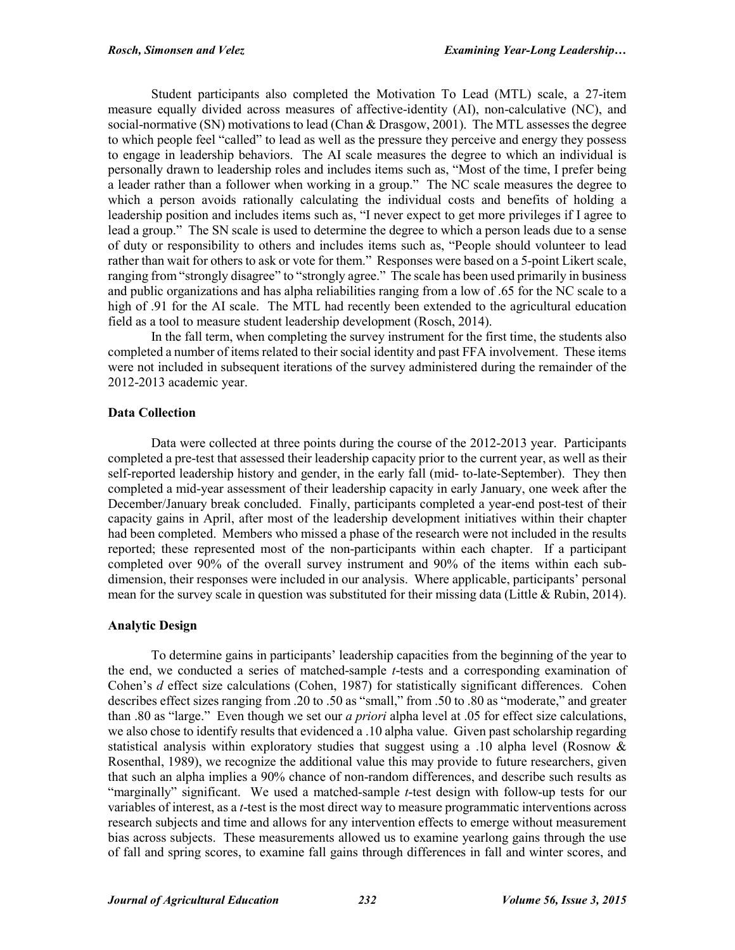Student participants also completed the Motivation To Lead (MTL) scale, a 27-item measure equally divided across measures of affective-identity (AI), non-calculative (NC), and social-normative (SN) motivations to lead (Chan & Drasgow, 2001). The MTL assesses the degree to which people feel "called" to lead as well as the pressure they perceive and energy they possess to engage in leadership behaviors. The AI scale measures the degree to which an individual is personally drawn to leadership roles and includes items such as, "Most of the time, I prefer being a leader rather than a follower when working in a group." The NC scale measures the degree to which a person avoids rationally calculating the individual costs and benefits of holding a leadership position and includes items such as, "I never expect to get more privileges if I agree to lead a group." The SN scale is used to determine the degree to which a person leads due to a sense of duty or responsibility to others and includes items such as, "People should volunteer to lead rather than wait for others to ask or vote for them." Responses were based on a 5-point Likert scale, ranging from "strongly disagree" to "strongly agree." The scale has been used primarily in business and public organizations and has alpha reliabilities ranging from a low of .65 for the NC scale to a high of .91 for the AI scale. The MTL had recently been extended to the agricultural education field as a tool to measure student leadership development (Rosch, 2014).

In the fall term, when completing the survey instrument for the first time, the students also completed a number of items related to their social identity and past FFA involvement. These items were not included in subsequent iterations of the survey administered during the remainder of the 2012-2013 academic year.

# **Data Collection**

Data were collected at three points during the course of the 2012-2013 year. Participants completed a pre-test that assessed their leadership capacity prior to the current year, as well as their self-reported leadership history and gender, in the early fall (mid- to-late-September). They then completed a mid-year assessment of their leadership capacity in early January, one week after the December/January break concluded. Finally, participants completed a year-end post-test of their capacity gains in April, after most of the leadership development initiatives within their chapter had been completed. Members who missed a phase of the research were not included in the results reported; these represented most of the non-participants within each chapter. If a participant completed over 90% of the overall survey instrument and 90% of the items within each subdimension, their responses were included in our analysis. Where applicable, participants' personal mean for the survey scale in question was substituted for their missing data (Little  $\&$  Rubin, 2014).

## **Analytic Design**

To determine gains in participants' leadership capacities from the beginning of the year to the end, we conducted a series of matched-sample *t*-tests and a corresponding examination of Cohen's *d* effect size calculations (Cohen, 1987) for statistically significant differences. Cohen describes effect sizes ranging from .20 to .50 as "small," from .50 to .80 as "moderate," and greater than .80 as "large." Even though we set our *a priori* alpha level at .05 for effect size calculations, we also chose to identify results that evidenced a .10 alpha value. Given past scholarship regarding statistical analysis within exploratory studies that suggest using a .10 alpha level (Rosnow  $\&$ Rosenthal, 1989), we recognize the additional value this may provide to future researchers, given that such an alpha implies a 90% chance of non-random differences, and describe such results as "marginally" significant. We used a matched-sample *t*-test design with follow-up tests for our variables of interest, as a *t*-test is the most direct way to measure programmatic interventions across research subjects and time and allows for any intervention effects to emerge without measurement bias across subjects. These measurements allowed us to examine yearlong gains through the use of fall and spring scores, to examine fall gains through differences in fall and winter scores, and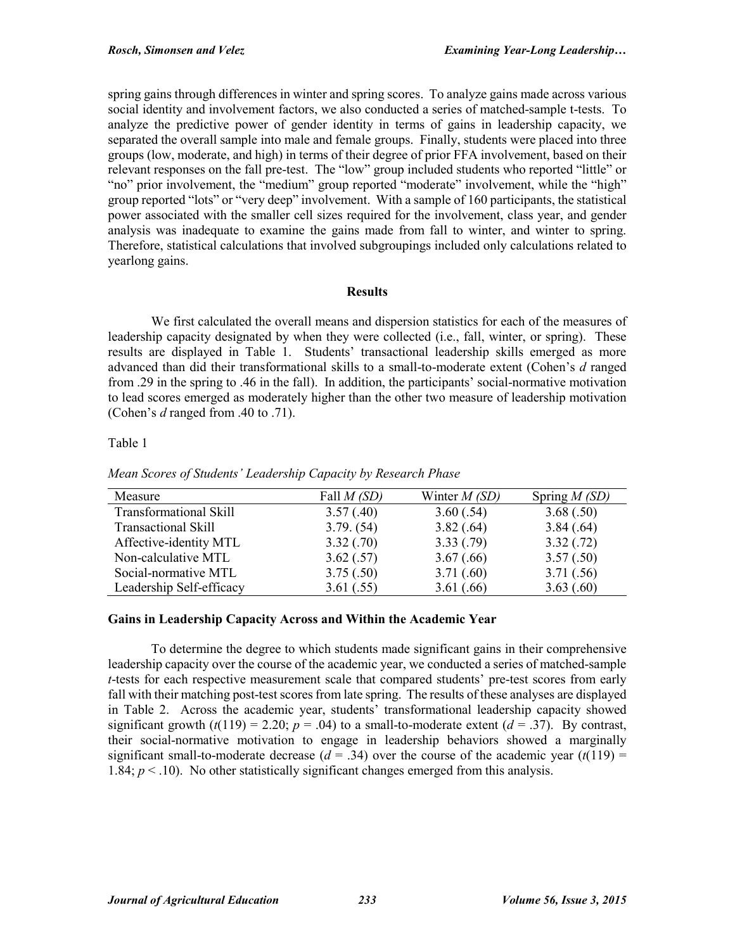spring gains through differences in winter and spring scores. To analyze gains made across various social identity and involvement factors, we also conducted a series of matched-sample t-tests. To analyze the predictive power of gender identity in terms of gains in leadership capacity, we separated the overall sample into male and female groups. Finally, students were placed into three groups (low, moderate, and high) in terms of their degree of prior FFA involvement, based on their relevant responses on the fall pre-test. The "low" group included students who reported "little" or "no" prior involvement, the "medium" group reported "moderate" involvement, while the "high" group reported "lots" or "very deep" involvement. With a sample of 160 participants, the statistical power associated with the smaller cell sizes required for the involvement, class year, and gender analysis was inadequate to examine the gains made from fall to winter, and winter to spring. Therefore, statistical calculations that involved subgroupings included only calculations related to yearlong gains.

## **Results**

We first calculated the overall means and dispersion statistics for each of the measures of leadership capacity designated by when they were collected (i.e., fall, winter, or spring). These results are displayed in Table 1. Students' transactional leadership skills emerged as more advanced than did their transformational skills to a small-to-moderate extent (Cohen's *d* ranged from .29 in the spring to .46 in the fall). In addition, the participants' social-normative motivation to lead scores emerged as moderately higher than the other two measure of leadership motivation (Cohen's *d* ranged from .40 to .71).

## Table 1

| Measure                       | Fall $M(SD)$ | Winter $M(SD)$ | Spring $M(SD)$ |
|-------------------------------|--------------|----------------|----------------|
| <b>Transformational Skill</b> | 3.57(.40)    | 3.60(.54)      | 3.68(.50)      |
| <b>Transactional Skill</b>    | 3.79. (54)   | 3.82(.64)      | 3.84(.64)      |
| Affective-identity MTL        | 3.32(.70)    | 3.33(.79)      | 3.32(.72)      |
| Non-calculative MTL           | 3.62(.57)    | 3.67(.66)      | 3.57(.50)      |
| Social-normative MTL          | 3.75(.50)    | 3.71(.60)      | 3.71(.56)      |
| Leadership Self-efficacy      | 3.61(.55)    | 3.61(.66)      | 3.63(.60)      |

*Mean Scores of Students' Leadership Capacity by Research Phase*

# **Gains in Leadership Capacity Across and Within the Academic Year**

To determine the degree to which students made significant gains in their comprehensive leadership capacity over the course of the academic year, we conducted a series of matched-sample *t*-tests for each respective measurement scale that compared students' pre-test scores from early fall with their matching post-test scores from late spring. The results of these analyses are displayed in Table 2. Across the academic year, students' transformational leadership capacity showed significant growth  $(t(119) = 2.20$ ;  $p = .04$ ) to a small-to-moderate extent  $(d = .37)$ . By contrast, their social-normative motivation to engage in leadership behaviors showed a marginally significant small-to-moderate decrease  $(d = .34)$  over the course of the academic year  $(t(119) =$ 1.84;  $p < 10$ ). No other statistically significant changes emerged from this analysis.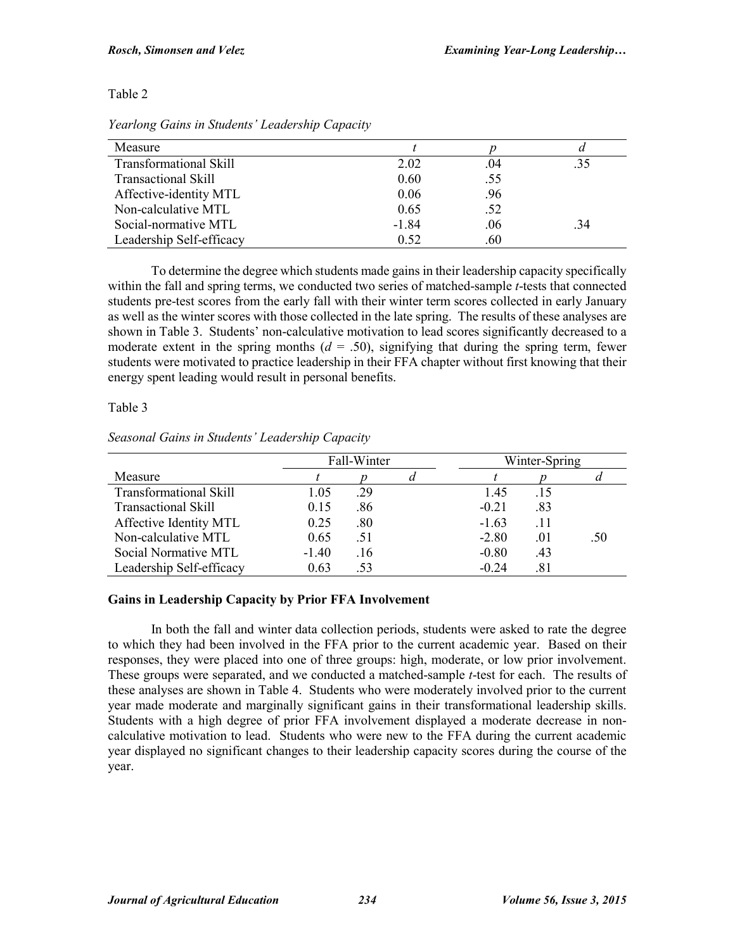# Table 2

| Measure                       |         |     |     |
|-------------------------------|---------|-----|-----|
| <b>Transformational Skill</b> | 2.02    | .04 | .35 |
| <b>Transactional Skill</b>    | 0.60    | .55 |     |
| Affective-identity MTL        | 0.06    | .96 |     |
| Non-calculative MTL           | 0.65    | .52 |     |
| Social-normative MTL          | $-1.84$ | .06 | -34 |
| Leadership Self-efficacy      | 0.52    | .60 |     |

*Yearlong Gains in Students' Leadership Capacity*

To determine the degree which students made gains in their leadership capacity specifically within the fall and spring terms, we conducted two series of matched-sample *t*-tests that connected students pre-test scores from the early fall with their winter term scores collected in early January as well as the winter scores with those collected in the late spring. The results of these analyses are shown in Table 3. Students' non-calculative motivation to lead scores significantly decreased to a moderate extent in the spring months  $(d = .50)$ , signifying that during the spring term, fewer students were motivated to practice leadership in their FFA chapter without first knowing that their energy spent leading would result in personal benefits.

## Table 3

|                               | Fall-Winter |     |  | Winter-Spring |     |     |  |
|-------------------------------|-------------|-----|--|---------------|-----|-----|--|
| Measure                       |             |     |  |               |     |     |  |
| <b>Transformational Skill</b> | 1.05        | .29 |  | 1.45          | .15 |     |  |
| <b>Transactional Skill</b>    | 0.15        | .86 |  | $-0.21$       | .83 |     |  |
| Affective Identity MTL        | 0.25        | .80 |  | $-1.63$       |     |     |  |
| Non-calculative MTL           | 0.65        | .51 |  | $-2.80$       | .01 | .50 |  |
| Social Normative MTL          | $-1.40$     | .16 |  | $-0.80$       | .43 |     |  |
| Leadership Self-efficacy      | 0.63        | .53 |  | $-0.24$       | .81 |     |  |

*Seasonal Gains in Students' Leadership Capacity*

# **Gains in Leadership Capacity by Prior FFA Involvement**

In both the fall and winter data collection periods, students were asked to rate the degree to which they had been involved in the FFA prior to the current academic year. Based on their responses, they were placed into one of three groups: high, moderate, or low prior involvement. These groups were separated, and we conducted a matched-sample *t*-test for each. The results of these analyses are shown in Table 4. Students who were moderately involved prior to the current year made moderate and marginally significant gains in their transformational leadership skills. Students with a high degree of prior FFA involvement displayed a moderate decrease in noncalculative motivation to lead. Students who were new to the FFA during the current academic year displayed no significant changes to their leadership capacity scores during the course of the year.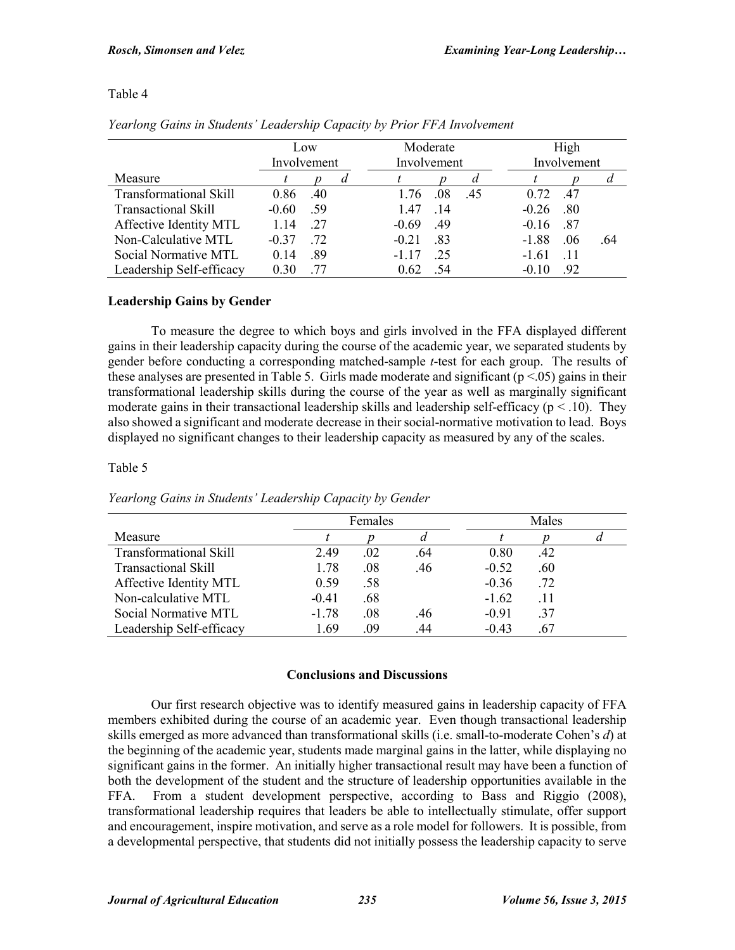## Table 4

|                               | Low<br>Involvement |     |  | Moderate<br>Involvement |     |     | High<br>Involvement |           |     |
|-------------------------------|--------------------|-----|--|-------------------------|-----|-----|---------------------|-----------|-----|
| Measure                       |                    |     |  |                         |     |     |                     |           |     |
| <b>Transformational Skill</b> | 0.86               | .40 |  | 1.76                    | .08 | .45 | 0.72                | .47       |     |
| <b>Transactional Skill</b>    | $-0.60$            | .59 |  | 1.47                    | .14 |     | $-0.26$             | .80       |     |
| Affective Identity MTL        | 1.14               | .27 |  | $-0.69$                 | .49 |     | $-0.16$             | .87       |     |
| Non-Calculative MTL           | $-0.37$            | .72 |  | $-0.21$                 | .83 |     | $-1.88$             | .06       | .64 |
| Social Normative MTL          | 0.14               | .89 |  | $-1.17$                 | .25 |     | $-1.61$             | $\Box$ 11 |     |
| Leadership Self-efficacy      | 0.30               | -77 |  | 0.62                    | .54 |     | $-0.10$             | .92       |     |

*Yearlong Gains in Students' Leadership Capacity by Prior FFA Involvement*

# **Leadership Gains by Gender**

To measure the degree to which boys and girls involved in the FFA displayed different gains in their leadership capacity during the course of the academic year, we separated students by gender before conducting a corresponding matched-sample *t*-test for each group. The results of these analyses are presented in Table 5. Girls made moderate and significant  $(p < 05)$  gains in their transformational leadership skills during the course of the year as well as marginally significant moderate gains in their transactional leadership skills and leadership self-efficacy ( $p < .10$ ). They also showed a significant and moderate decrease in their social-normative motivation to lead. Boys displayed no significant changes to their leadership capacity as measured by any of the scales.

## Table 5

|                               | Females |     |     | Males   |     |  |
|-------------------------------|---------|-----|-----|---------|-----|--|
| Measure                       |         |     |     |         |     |  |
| <b>Transformational Skill</b> | 2.49    | .02 | .64 | 0.80    | .42 |  |
| <b>Transactional Skill</b>    | 1.78    | .08 | .46 | $-0.52$ | .60 |  |
| Affective Identity MTL        | 0.59    | .58 |     | $-0.36$ | .72 |  |
| Non-calculative MTL           | $-0.41$ | .68 |     | $-1.62$ | .11 |  |
| Social Normative MTL          | $-1.78$ | .08 | .46 | $-0.91$ | .37 |  |
| Leadership Self-efficacy      | 1.69    | .09 | .44 | $-0.43$ | .67 |  |

*Yearlong Gains in Students' Leadership Capacity by Gender*

## **Conclusions and Discussions**

Our first research objective was to identify measured gains in leadership capacity of FFA members exhibited during the course of an academic year. Even though transactional leadership skills emerged as more advanced than transformational skills (i.e. small-to-moderate Cohen's *d*) at the beginning of the academic year, students made marginal gains in the latter, while displaying no significant gains in the former. An initially higher transactional result may have been a function of both the development of the student and the structure of leadership opportunities available in the FFA. From a student development perspective, according to Bass and Riggio (2008), transformational leadership requires that leaders be able to intellectually stimulate, offer support and encouragement, inspire motivation, and serve as a role model for followers. It is possible, from a developmental perspective, that students did not initially possess the leadership capacity to serve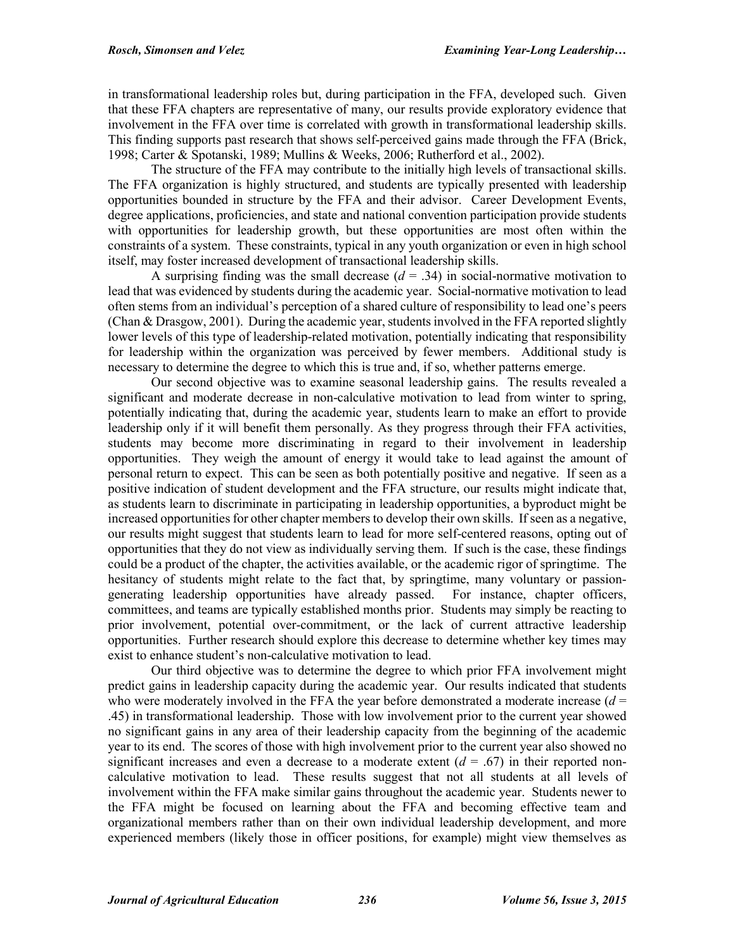in transformational leadership roles but, during participation in the FFA, developed such. Given that these FFA chapters are representative of many, our results provide exploratory evidence that involvement in the FFA over time is correlated with growth in transformational leadership skills. This finding supports past research that shows self-perceived gains made through the FFA (Brick, 1998; Carter & Spotanski, 1989; Mullins & Weeks, 2006; Rutherford et al., 2002).

The structure of the FFA may contribute to the initially high levels of transactional skills. The FFA organization is highly structured, and students are typically presented with leadership opportunities bounded in structure by the FFA and their advisor. Career Development Events, degree applications, proficiencies, and state and national convention participation provide students with opportunities for leadership growth, but these opportunities are most often within the constraints of a system. These constraints, typical in any youth organization or even in high school itself, may foster increased development of transactional leadership skills.

A surprising finding was the small decrease  $(d = .34)$  in social-normative motivation to lead that was evidenced by students during the academic year. Social-normative motivation to lead often stems from an individual's perception of a shared culture of responsibility to lead one's peers (Chan & Drasgow, 2001). During the academic year, students involved in the FFA reported slightly lower levels of this type of leadership-related motivation, potentially indicating that responsibility for leadership within the organization was perceived by fewer members. Additional study is necessary to determine the degree to which this is true and, if so, whether patterns emerge.

Our second objective was to examine seasonal leadership gains. The results revealed a significant and moderate decrease in non-calculative motivation to lead from winter to spring, potentially indicating that, during the academic year, students learn to make an effort to provide leadership only if it will benefit them personally. As they progress through their FFA activities, students may become more discriminating in regard to their involvement in leadership opportunities. They weigh the amount of energy it would take to lead against the amount of personal return to expect. This can be seen as both potentially positive and negative. If seen as a positive indication of student development and the FFA structure, our results might indicate that, as students learn to discriminate in participating in leadership opportunities, a byproduct might be increased opportunities for other chapter members to develop their own skills. If seen as a negative, our results might suggest that students learn to lead for more self-centered reasons, opting out of opportunities that they do not view as individually serving them. If such is the case, these findings could be a product of the chapter, the activities available, or the academic rigor of springtime. The hesitancy of students might relate to the fact that, by springtime, many voluntary or passiongenerating leadership opportunities have already passed. For instance, chapter officers, committees, and teams are typically established months prior. Students may simply be reacting to prior involvement, potential over-commitment, or the lack of current attractive leadership opportunities. Further research should explore this decrease to determine whether key times may exist to enhance student's non-calculative motivation to lead.

Our third objective was to determine the degree to which prior FFA involvement might predict gains in leadership capacity during the academic year. Our results indicated that students who were moderately involved in the FFA the year before demonstrated a moderate increase  $(d =$ .45) in transformational leadership. Those with low involvement prior to the current year showed no significant gains in any area of their leadership capacity from the beginning of the academic year to its end. The scores of those with high involvement prior to the current year also showed no significant increases and even a decrease to a moderate extent  $(d = .67)$  in their reported noncalculative motivation to lead. These results suggest that not all students at all levels of involvement within the FFA make similar gains throughout the academic year. Students newer to the FFA might be focused on learning about the FFA and becoming effective team and organizational members rather than on their own individual leadership development, and more experienced members (likely those in officer positions, for example) might view themselves as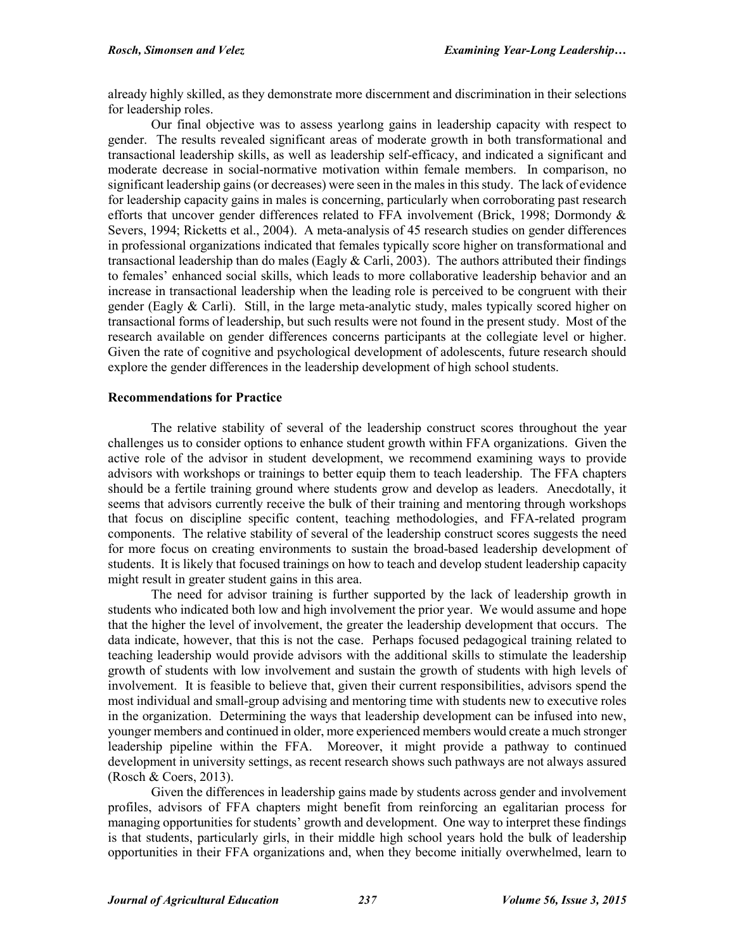already highly skilled, as they demonstrate more discernment and discrimination in their selections for leadership roles.

Our final objective was to assess yearlong gains in leadership capacity with respect to gender. The results revealed significant areas of moderate growth in both transformational and transactional leadership skills, as well as leadership self-efficacy, and indicated a significant and moderate decrease in social-normative motivation within female members. In comparison, no significant leadership gains (or decreases) were seen in the males in this study. The lack of evidence for leadership capacity gains in males is concerning, particularly when corroborating past research efforts that uncover gender differences related to FFA involvement (Brick, 1998; Dormondy & Severs, 1994; Ricketts et al., 2004). A meta-analysis of 45 research studies on gender differences in professional organizations indicated that females typically score higher on transformational and transactional leadership than do males (Eagly  $& \text{Carli}, 2003$ ). The authors attributed their findings to females' enhanced social skills, which leads to more collaborative leadership behavior and an increase in transactional leadership when the leading role is perceived to be congruent with their gender (Eagly  $\&$  Carli). Still, in the large meta-analytic study, males typically scored higher on transactional forms of leadership, but such results were not found in the present study. Most of the research available on gender differences concerns participants at the collegiate level or higher. Given the rate of cognitive and psychological development of adolescents, future research should explore the gender differences in the leadership development of high school students.

## **Recommendations for Practice**

The relative stability of several of the leadership construct scores throughout the year challenges us to consider options to enhance student growth within FFA organizations. Given the active role of the advisor in student development, we recommend examining ways to provide advisors with workshops or trainings to better equip them to teach leadership. The FFA chapters should be a fertile training ground where students grow and develop as leaders. Anecdotally, it seems that advisors currently receive the bulk of their training and mentoring through workshops that focus on discipline specific content, teaching methodologies, and FFA-related program components. The relative stability of several of the leadership construct scores suggests the need for more focus on creating environments to sustain the broad-based leadership development of students. It is likely that focused trainings on how to teach and develop student leadership capacity might result in greater student gains in this area.

The need for advisor training is further supported by the lack of leadership growth in students who indicated both low and high involvement the prior year. We would assume and hope that the higher the level of involvement, the greater the leadership development that occurs. The data indicate, however, that this is not the case. Perhaps focused pedagogical training related to teaching leadership would provide advisors with the additional skills to stimulate the leadership growth of students with low involvement and sustain the growth of students with high levels of involvement. It is feasible to believe that, given their current responsibilities, advisors spend the most individual and small-group advising and mentoring time with students new to executive roles in the organization. Determining the ways that leadership development can be infused into new, younger members and continued in older, more experienced members would create a much stronger leadership pipeline within the FFA. Moreover, it might provide a pathway to continued development in university settings, as recent research shows such pathways are not always assured (Rosch & Coers, 2013).

Given the differences in leadership gains made by students across gender and involvement profiles, advisors of FFA chapters might benefit from reinforcing an egalitarian process for managing opportunities for students' growth and development. One way to interpret these findings is that students, particularly girls, in their middle high school years hold the bulk of leadership opportunities in their FFA organizations and, when they become initially overwhelmed, learn to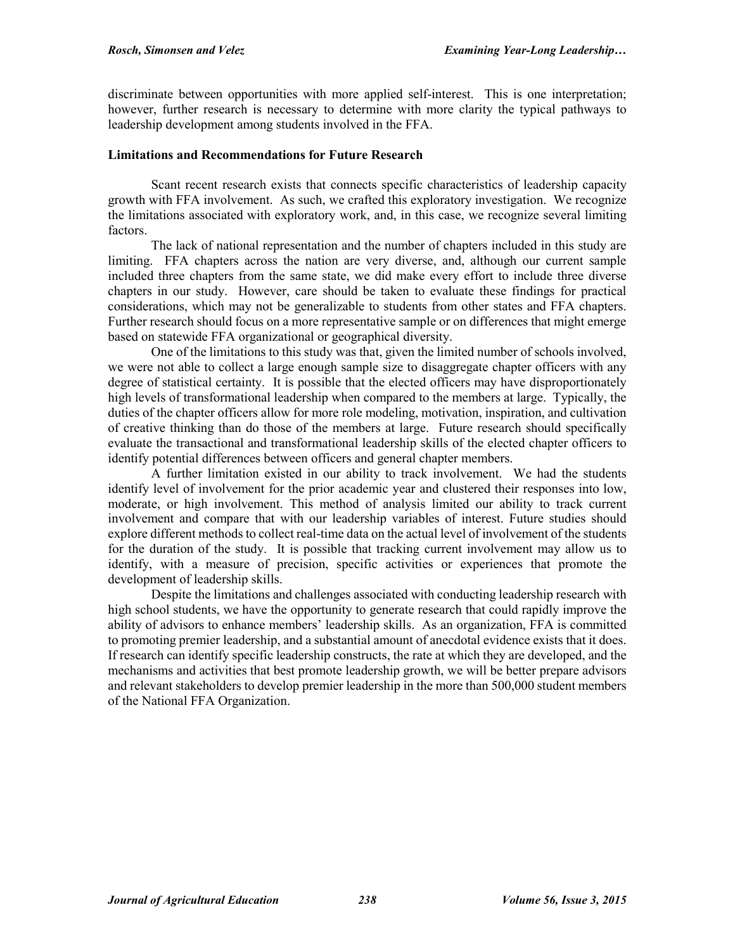discriminate between opportunities with more applied self-interest. This is one interpretation; however, further research is necessary to determine with more clarity the typical pathways to leadership development among students involved in the FFA.

## **Limitations and Recommendations for Future Research**

Scant recent research exists that connects specific characteristics of leadership capacity growth with FFA involvement. As such, we crafted this exploratory investigation. We recognize the limitations associated with exploratory work, and, in this case, we recognize several limiting factors.

The lack of national representation and the number of chapters included in this study are limiting. FFA chapters across the nation are very diverse, and, although our current sample included three chapters from the same state, we did make every effort to include three diverse chapters in our study. However, care should be taken to evaluate these findings for practical considerations, which may not be generalizable to students from other states and FFA chapters. Further research should focus on a more representative sample or on differences that might emerge based on statewide FFA organizational or geographical diversity.

One of the limitations to this study was that, given the limited number of schools involved, we were not able to collect a large enough sample size to disaggregate chapter officers with any degree of statistical certainty. It is possible that the elected officers may have disproportionately high levels of transformational leadership when compared to the members at large. Typically, the duties of the chapter officers allow for more role modeling, motivation, inspiration, and cultivation of creative thinking than do those of the members at large. Future research should specifically evaluate the transactional and transformational leadership skills of the elected chapter officers to identify potential differences between officers and general chapter members.

A further limitation existed in our ability to track involvement. We had the students identify level of involvement for the prior academic year and clustered their responses into low, moderate, or high involvement. This method of analysis limited our ability to track current involvement and compare that with our leadership variables of interest. Future studies should explore different methods to collect real-time data on the actual level of involvement of the students for the duration of the study. It is possible that tracking current involvement may allow us to identify, with a measure of precision, specific activities or experiences that promote the development of leadership skills.

Despite the limitations and challenges associated with conducting leadership research with high school students, we have the opportunity to generate research that could rapidly improve the ability of advisors to enhance members' leadership skills. As an organization, FFA is committed to promoting premier leadership, and a substantial amount of anecdotal evidence exists that it does. If research can identify specific leadership constructs, the rate at which they are developed, and the mechanisms and activities that best promote leadership growth, we will be better prepare advisors and relevant stakeholders to develop premier leadership in the more than 500,000 student members of the National FFA Organization.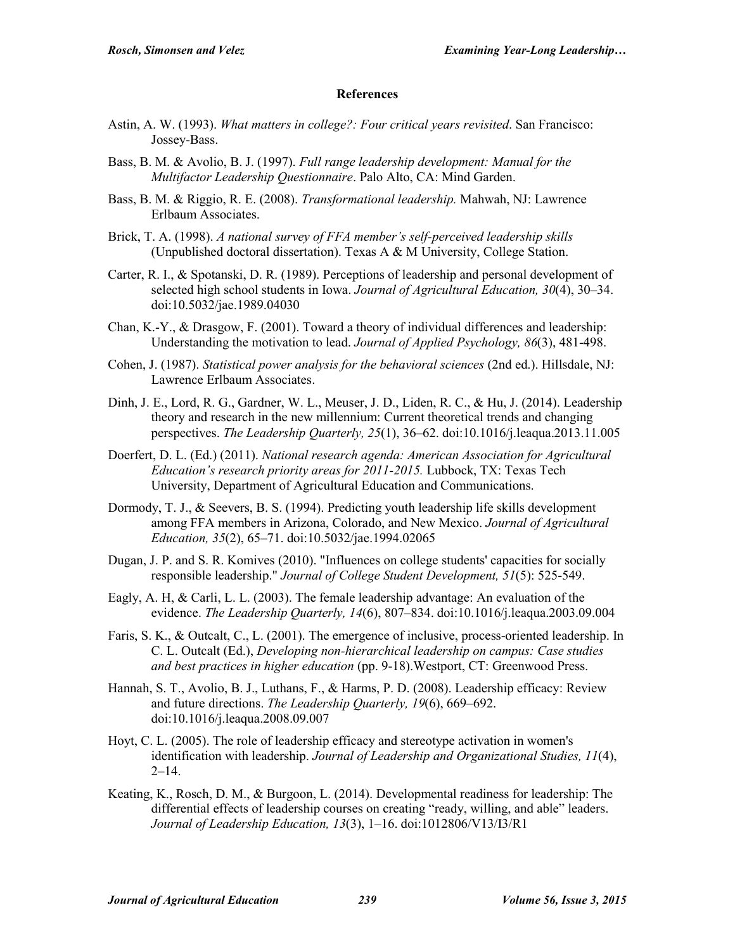#### **References**

- Astin, A. W. (1993). *What matters in college?: Four critical years revisited*. San Francisco: Jossey-Bass.
- Bass, B. M. & Avolio, B. J. (1997). *Full range leadership development: Manual for the Multifactor Leadership Questionnaire*. Palo Alto, CA: Mind Garden.
- Bass, B. M. & Riggio, R. E. (2008). *Transformational leadership.* Mahwah, NJ: Lawrence Erlbaum Associates.
- Brick, T. A. (1998). *A national survey of FFA member's self-perceived leadership skills* (Unpublished doctoral dissertation). Texas A & M University, College Station.
- Carter, R. I., & Spotanski, D. R. (1989). Perceptions of leadership and personal development of selected high school students in Iowa. *Journal of Agricultural Education, 30*(4), 30–34. doi:10.5032/jae.1989.04030
- Chan, K.-Y., & Drasgow, F. (2001). Toward a theory of individual differences and leadership: Understanding the motivation to lead. *Journal of Applied Psychology, 86*(3), 481-498.
- Cohen, J. (1987). *Statistical power analysis for the behavioral sciences* (2nd ed.). Hillsdale, NJ: Lawrence Erlbaum Associates.
- Dinh, J. E., Lord, R. G., Gardner, W. L., Meuser, J. D., Liden, R. C., & Hu, J. (2014). Leadership theory and research in the new millennium: Current theoretical trends and changing perspectives. *The Leadership Quarterly, 25*(1), 36–62. doi:10.1016/j.leaqua.2013.11.005
- Doerfert, D. L. (Ed.) (2011). *National research agenda: American Association for Agricultural Education's research priority areas for 2011-2015.* Lubbock, TX: Texas Tech University, Department of Agricultural Education and Communications.
- Dormody, T. J., & Seevers, B. S. (1994). Predicting youth leadership life skills development among FFA members in Arizona, Colorado, and New Mexico. *Journal of Agricultural Education, 35*(2), 65–71. doi:10.5032/jae.1994.02065
- Dugan, J. P. and S. R. Komives (2010). "Influences on college students' capacities for socially responsible leadership." *Journal of College Student Development, 51*(5): 525-549.
- Eagly, A. H, & Carli, L. L. (2003). The female leadership advantage: An evaluation of the evidence. *The Leadership Quarterly, 14*(6), 807–834. doi:10.1016/j.leaqua.2003.09.004
- Faris, S. K., & Outcalt, C., L. (2001). The emergence of inclusive, process-oriented leadership. In C. L. Outcalt (Ed.), *Developing non-hierarchical leadership on campus: Case studies and best practices in higher education* (pp. 9-18).Westport, CT: Greenwood Press.
- Hannah, S. T., Avolio, B. J., Luthans, F., & Harms, P. D. (2008). Leadership efficacy: Review and future directions. *The Leadership Quarterly, 19*(6), 669–692. doi:10.1016/j.leaqua.2008.09.007
- Hoyt, C. L. (2005). The role of leadership efficacy and stereotype activation in women's identification with leadership. *Journal of Leadership and Organizational Studies, 11*(4),  $2-14.$
- Keating, K., Rosch, D. M., & Burgoon, L. (2014). Developmental readiness for leadership: The differential effects of leadership courses on creating "ready, willing, and able" leaders. *Journal of Leadership Education, 13*(3), 1–16. doi:1012806/V13/I3/R1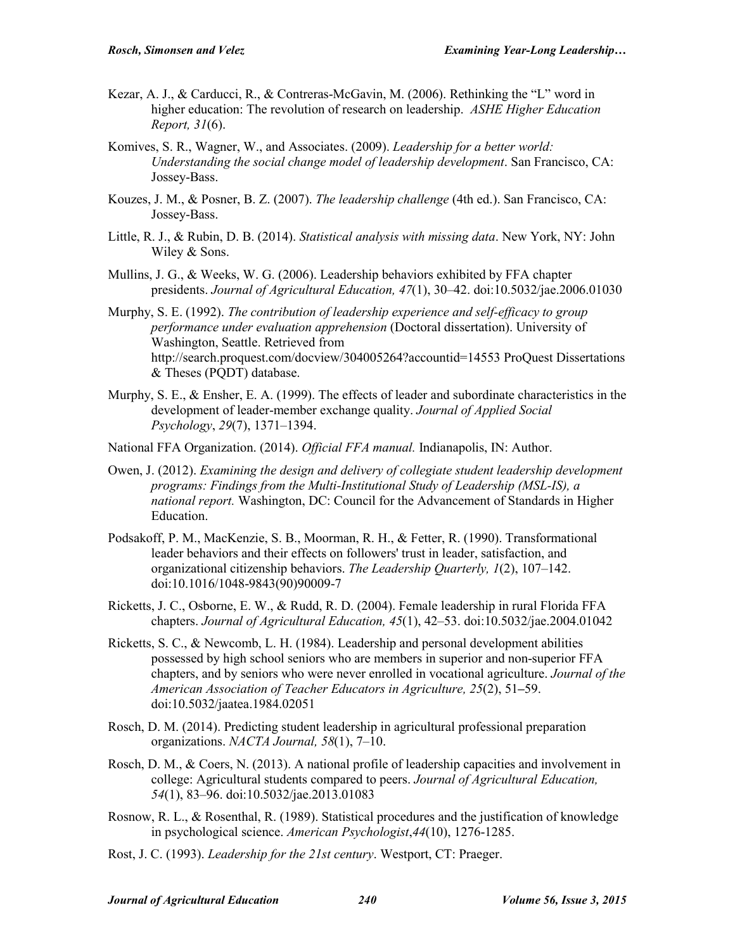- Kezar, A. J., & Carducci, R., & Contreras-McGavin, M. (2006). Rethinking the "L" word in higher education: The revolution of research on leadership. *ASHE Higher Education Report, 31*(6).
- Komives, S. R., Wagner, W., and Associates. (2009). *Leadership for a better world: Understanding the social change model of leadership development*. San Francisco, CA: Jossey-Bass.
- Kouzes, J. M., & Posner, B. Z. (2007). *The leadership challenge* (4th ed.). San Francisco, CA: Jossey-Bass.
- Little, R. J., & Rubin, D. B. (2014). *Statistical analysis with missing data*. New York, NY: John Wiley & Sons.
- Mullins, J. G., & Weeks, W. G. (2006). Leadership behaviors exhibited by FFA chapter presidents. *Journal of Agricultural Education, 47*(1), 30–42. doi:10.5032/jae.2006.01030
- Murphy, S. E. (1992). *The contribution of leadership experience and self-efficacy to group performance under evaluation apprehension* (Doctoral dissertation). University of Washington, Seattle. Retrieved from http://search.proquest.com/docview/304005264?accountid=14553 ProQuest Dissertations & Theses (PQDT) database.
- Murphy, S. E., & Ensher, E. A. (1999). The effects of leader and subordinate characteristics in the development of leader-member exchange quality. *Journal of Applied Social Psychology*, *29*(7), 1371–1394.
- National FFA Organization. (2014). *Official FFA manual.* Indianapolis, IN: Author.
- Owen, J. (2012). *Examining the design and delivery of collegiate student leadership development programs: Findings from the Multi-Institutional Study of Leadership (MSL-IS), a national report.* Washington, DC: Council for the Advancement of Standards in Higher Education.
- Podsakoff, P. M., MacKenzie, S. B., Moorman, R. H., & Fetter, R. (1990). Transformational leader behaviors and their effects on followers' trust in leader, satisfaction, and organizational citizenship behaviors. *The Leadership Quarterly, 1*(2), 107–142. doi:10.1016/1048-9843(90)90009-7
- Ricketts, J. C., Osborne, E. W., & Rudd, R. D. (2004). Female leadership in rural Florida FFA chapters. *Journal of Agricultural Education, 45*(1), 42–53. doi:10.5032/jae.2004.01042
- Ricketts, S. C., & Newcomb, L. H. (1984). Leadership and personal development abilities possessed by high school seniors who are members in superior and non-superior FFA chapters, and by seniors who were never enrolled in vocational agriculture. *Journal of the American Association of Teacher Educators in Agriculture, 25*(2), 51**–**59. doi:10.5032/jaatea.1984.02051
- Rosch, D. M. (2014). Predicting student leadership in agricultural professional preparation organizations. *NACTA Journal, 58*(1), 7–10.
- Rosch, D. M., & Coers, N. (2013). A national profile of leadership capacities and involvement in college: Agricultural students compared to peers. *Journal of Agricultural Education, 54*(1), 83–96. doi:10.5032/jae.2013.01083
- Rosnow, R. L., & Rosenthal, R. (1989). Statistical procedures and the justification of knowledge in psychological science. *American Psychologist*,*44*(10), 1276-1285.
- Rost, J. C. (1993). *Leadership for the 21st century*. Westport, CT: Praeger.